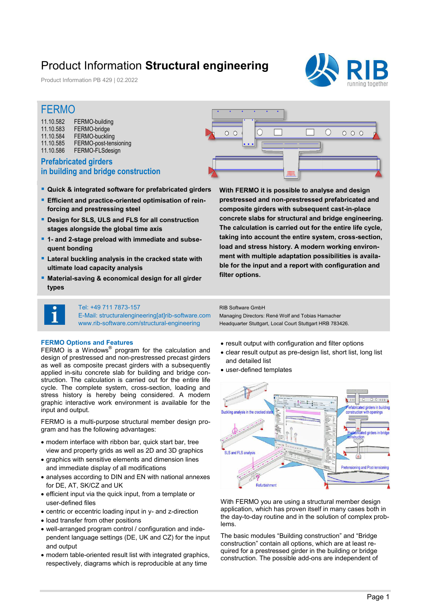## Product Information **Structural engineering**

Product Information PB 429 | 02.2022



 $0.0.0$ 

 $\bigcap$ 

### FERMO

| 11.10.582 | FERMO-building        |
|-----------|-----------------------|
| 11.10.583 | FERMO-bridge          |
| 11.10.584 | FERMO-buckling        |
| 11.10.585 | FERMO-post-tensioning |
| 11.10.586 | FERMO-FLSdesign       |
|           |                       |

### **Prefabricated girders in building and bridge construction**

- **Quick & integrated software for prefabricated girders**
- **Efficient and practice-oriented optimisation of reinforcing and prestressing steel**
- **P** Design for SLS, ULS and FLS for all construction **stages alongside the global time axis**
- **1- and 2-stage preload with immediate and subsequent bonding**
- **Lateral buckling analysis in the cracked state with ultimate load capacity analysis**
- **Material-saving & economical design for all girder types**

**With FERMO it is possible to analyse and design prestressed and non-prestressed prefabricated and composite girders with subsequent cast-in-place concrete slabs for structural and bridge engineering. The calculation is carried out for the entire life cycle, taking into account the entire system, cross-section, load and stress history. A modern working environment with multiple adaptation possibilities is available for the input and a report with configuration and filter options.** 

**AND AND STATE** 

#### Tel: +49 711 7873-157

E-Mail: structuralengineering[at]rib-software.com www.rib-software.com/structural-engineering

#### **FERMO Options and Features**

FERMO is a Windows<sup>®</sup> program for the calculation and design of prestressed and non-prestressed precast girders as well as composite precast girders with a subsequently applied in-situ concrete slab for building and bridge construction. The calculation is carried out for the entire life cycle. The complete system, cross-section, loading and stress history is hereby being considered. A modern graphic interactive work environment is available for the input and output.

FERMO is a multi-purpose structural member design program and has the following advantages:

- modern interface with ribbon bar, quick start bar, tree view and property grids as well as 2D and 3D graphics
- graphics with sensitive elements and dimension lines and immediate display of all modifications
- analyses according to DIN and EN with national annexes for DE, AT, SK/CZ and UK
- efficient input via the quick input, from a template or user-defined files
- centric or eccentric loading input in y- and z-direction
- load transfer from other positions
- well-arranged program control / configuration and independent language settings (DE, UK and CZ) for the input and output
- modern table-oriented result list with integrated graphics, respectively, diagrams which is reproducible at any time

RIB Software GmbH

 $\cap$  $\Omega$ 

Managing Directors: René Wolf and Tobias Hamacher Headquarter Stuttgart, Local Court Stuttgart HRB 783426.

- result output with configuration and filter options
- clear result output as pre-design list, short list, long list and detailed list
- user-defined templates



With FERMO you are using a structural member design application, which has proven itself in many cases both in the day-to-day routine and in the solution of complex problems.

The basic modules "Building construction" and "Bridge construction" contain all options, which are at least required for a prestressed girder in the building or bridge construction. The possible add-ons are independent of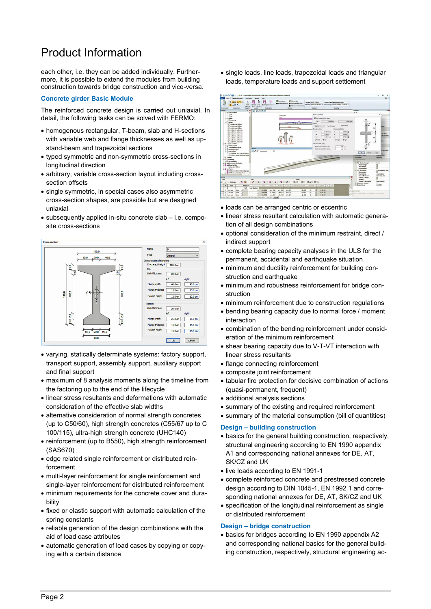# Product Information

each other, i.e. they can be added individually. Furthermore, it is possible to extend the modules from building construction towards bridge construction and vice-versa.

#### **Concrete girder Basic Module**

The reinforced concrete design is carried out uniaxial. In detail, the following tasks can be solved with FERMO:

- homogenous rectangular, T-beam, slab and H-sections with variable web and flange thicknesses as well as upstand-beam and trapezoidal sections
- typed symmetric and non-symmetric cross-sections in longitudinal direction
- arbitrary, variable cross-section layout including crosssection offsets
- single symmetric, in special cases also asymmetric cross-section shapes, are possible but are designed uniaxial
- subsequently applied in-situ concrete slab i.e. composite cross-sections



- varying, statically determinate systems: factory support, transport support, assembly support, auxiliary support and final support
- maximum of 8 analysis moments along the timeline from the factoring up to the end of the lifecycle
- linear stress resultants and deformations with automatic consideration of the effective slab widths
- alternative consideration of normal strength concretes (up to C50/60), high strength concretes (C55/67 up to C 100/115), ultra-high strength concrete (UHC140)
- reinforcement (up to B550), high strength reinforcement (SAS670)
- edge related single reinforcement or distributed reinforcement
- multi-layer reinforcement for single reinforcement and single-layer reinforcement for distributed reinforcement
- minimum requirements for the concrete cover and durability
- fixed or elastic support with automatic calculation of the spring constants
- reliable generation of the design combinations with the aid of load case attributes
- automatic generation of load cases by copying or copying with a certain distance

 single loads, line loads, trapezoidal loads and triangular loads, temperature loads and support settlement



- loads can be arranged centric or eccentric
- linear stress resultant calculation with automatic generation of all design combinations
- optional consideration of the minimum restraint, direct / indirect support
- complete bearing capacity analyses in the ULS for the permanent, accidental and earthquake situation
- minimum and ductility reinforcement for building construction and earthquake
- minimum and robustness reinforcement for bridge construction
- minimum reinforcement due to construction regulations
- bending bearing capacity due to normal force / moment interaction
- combination of the bending reinforcement under consideration of the minimum reinforcement
- shear bearing capacity due to V-T-VT interaction with linear stress resultants
- flange connecting reinforcement
- composite joint reinforcement
- tabular fire protection for decisive combination of actions (quasi-permanent, frequent)
- additional analysis sections
- summary of the existing and required reinforcement
- summary of the material consumption (bill of quantities)

#### **Design – building construction**

- basics for the general building construction, respectively, structural engineering according to EN 1990 appendix A1 and corresponding national annexes for DE, AT, SK/CZ and UK
- live loads according to EN 1991-1
- complete reinforced concrete and prestressed concrete design according to DIN 1045-1, EN 1992 1 and corresponding national annexes for DE, AT, SK/CZ and UK
- specification of the longitudinal reinforcement as single or distributed reinforcement

#### **Design – bridge construction**

 basics for bridges according to EN 1990 appendix A2 and corresponding national basics for the general building construction, respectively, structural engineering ac-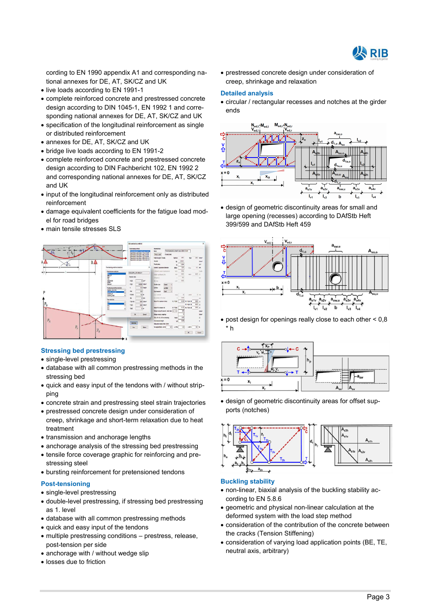

cording to EN 1990 appendix A1 and corresponding national annexes for DE, AT, SK/CZ and UK

- live loads according to EN 1991-1
- complete reinforced concrete and prestressed concrete design according to DIN 1045-1, EN 1992 1 and corresponding national annexes for DE, AT, SK/CZ and UK
- specification of the longitudinal reinforcement as single or distributed reinforcement
- annexes for DE, AT, SK/CZ and UK
- bridge live loads according to EN 1991-2
- complete reinforced concrete and prestressed concrete design according to DIN Fachbericht 102, EN 1992 2 and corresponding national annexes for DE, AT, SK/CZ and UK
- input of the longitudinal reinforcement only as distributed reinforcement
- damage equivalent coefficients for the fatigue load model for road bridges
- main tensile stresses SLS



#### **Stressing bed prestressing**

- single-level prestressing
- database with all common prestressing methods in the stressing bed
- quick and easy input of the tendons with / without stripping
- concrete strain and prestressing steel strain trajectories
- prestressed concrete design under consideration of creep, shrinkage and short-term relaxation due to heat treatment
- transmission and anchorage lengths
- anchorage analysis of the stressing bed prestressing
- tensile force coverage graphic for reinforcing and prestressing steel
- bursting reinforcement for pretensioned tendons

#### **Post-tensioning**

- single-level prestressing
- double-level prestressing, if stressing bed prestressing as 1. level
- database with all common prestressing methods
- quick and easy input of the tendons
- multiple prestressing conditions prestress, release, post-tension per side
- anchorage with / without wedge slip
- losses due to friction

 prestressed concrete design under consideration of creep, shrinkage and relaxation

#### **Detailed analysis**

 circular / rectangular recesses and notches at the girder ends



 design of geometric discontinuity areas for small and large opening (recesses) according to DAfStb Heft 399/599 and DAfStb Heft 459



 post design for openings really close to each other < 0,8 \* h



 design of geometric discontinuity areas for offset supports (notches)



#### **Buckling stability**

- non-linear, biaxial analysis of the buckling stability according to EN 5.8.6
- geometric and physical non-linear calculation at the deformed system with the load step method
- consideration of the contribution of the concrete between the cracks (Tension Stiffening)
- consideration of varying load application points (BE, TE, neutral axis, arbitrary)